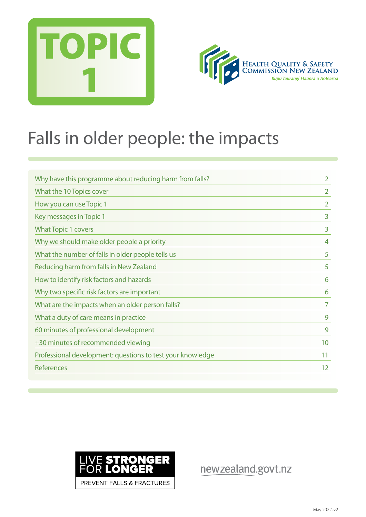



## Falls in older people: the impacts

| Why have this programme about reducing harm from falls?    | $\overline{2}$ |
|------------------------------------------------------------|----------------|
| What the 10 Topics cover                                   | 2              |
| How you can use Topic 1                                    | $\overline{2}$ |
| Key messages in Topic 1                                    | 3              |
| <b>What Topic 1 covers</b>                                 | 3              |
| Why we should make older people a priority                 | 4              |
| What the number of falls in older people tells us          | 5              |
| Reducing harm from falls in New Zealand                    | 5              |
| How to identify risk factors and hazards                   | 6              |
| Why two specific risk factors are important                | 6              |
| What are the impacts when an older person falls?           | 7              |
| What a duty of care means in practice                      | 9              |
| 60 minutes of professional development                     | 9              |
| +30 minutes of recommended viewing                         | 10             |
| Professional development: questions to test your knowledge | 11             |
| <b>References</b>                                          | 12             |



newzealand.govt.nz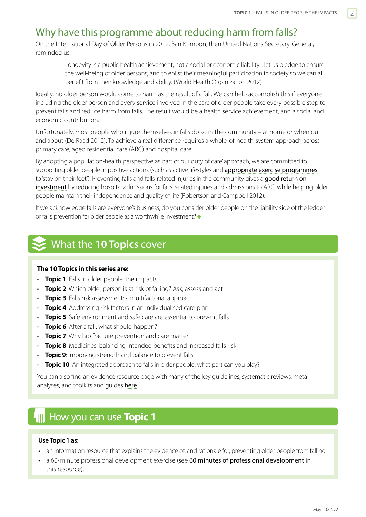## <span id="page-1-0"></span>Why have this programme about reducing harm from falls?

On the International Day of Older Persons in 2012, Ban Ki-moon, then United Nations Secretary-General, reminded us:

Longevity is a public health achievement, not a social or economic liability... let us pledge to ensure the well-being of older persons, and to enlist their meaningful participation in society so we can all benefit from their knowledge and ability. (World Health Organization 2012)

Ideally, no older person would come to harm as the result of a fall. We can help accomplish this if everyone including the older person and every service involved in the care of older people take every possible step to prevent falls and reduce harm from falls. The result would be a health service achievement, and a social and economic contribution.

Unfortunately, most people who injure themselves in falls do so in the community – at home or when out and about (De Raad 2012). To achieve a real difference requires a whole-of-health-system approach across primary care, aged residential care (ARC) and hospital care.

By adopting a population-health perspective as part of our 'duty of care' approach, we are committed to supporting older people in positive actions (such as active lifestyles and appropriate exercise programmes to 'stay on their feet'). Preventing falls and falls-related injuries in the community gives a good return on [investment](https://www.hqsc.govt.nz/assets/Our-work/System-safety/Reducing-harm/Falls/Publications-resources/Falling-costs-case-for-investment-summary-May-2013.pdf) by reducing hospital admissions for falls-related injuries and admissions to ARC, while helping older people maintain their independence and quality of life (Robertson and Campbell 2012).

If we acknowledge falls are everyone's business, do you consider older people on the liability side of the ledger or falls prevention for older people as a worthwhile investment?  $\bullet$ 

## What the **10 Topics** cover

#### **The 10 Topics in this series are:**

- **Topic 1**: Falls in older people: the impacts
- **Topic 2**: Which older person is at risk of falling? Ask, assess and act
- **Topic 3**: Falls risk assessment: a multifactorial approach
- **Topic 4**: Addressing risk factors in an individualised care plan
- **Topic 5**: Safe environment and safe care are essential to prevent falls
- **Topic 6**: After a fall: what should happen?
- **Topic 7**: Why hip fracture prevention and care matter
- **Topic 8**: Medicines: balancing intended benefits and increased falls risk
- **Topic 9**: Improving strength and balance to prevent falls
- **Topic 10**: An integrated approach to falls in older people: what part can you play?

You can also find an evidence resource page with many of the key guidelines, systematic reviews, metaanalyses, and toolkits and quides here.

## How you can use **Topic 1**

#### **Use Topic 1 as:**

- an information resource that explains the evidence of, and rationale for, preventing older people from falling
- a 60-minute professional development exercise (see 60 minutes of professional development in this resource).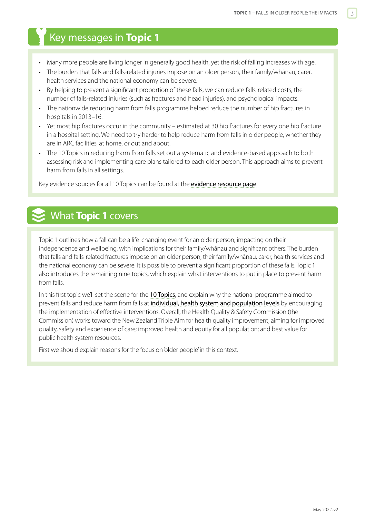## <span id="page-2-0"></span>Key messages in **Topic 1**

- Many more people are living longer in generally good health, yet the risk of falling increases with age.
- The burden that falls and falls-related injuries impose on an older person, their family/whānau, carer, health services and the national economy can be severe.
- By helping to prevent a significant proportion of these falls, we can reduce falls-related costs, the number of falls-related injuries (such as fractures and head injuries), and psychological impacts.
- The nationwide reducing harm from falls programme helped reduce the number of hip fractures in hospitals in 2013–16.
- Yet most hip fractures occur in the community estimated at 30 hip fractures for every one hip fracture in a hospital setting. We need to try harder to help reduce harm from falls in older people, whether they are in ARC facilities, at home, or out and about.
- The 10 Topics in reducing harm from falls set out a systematic and evidence-based approach to both assessing risk and implementing care plans tailored to each older person. This approach aims to prevent harm from falls in all settings.

Key evidence sources for all 10 Topics can be found at the [evidence resource page](https://www.hqsc.govt.nz/our-programmes/reducing-harm-from-falls/recommended-resources/).

## What **Topic 1** covers

Topic 1 outlines how a fall can be a life-changing event for an older person, impacting on their independence and wellbeing, with implications for their family/whānau and significant others. The burden that falls and falls-related fractures impose on an older person, their family/whānau, carer, health services and the national economy can be severe. It is possible to prevent a significant proportion of these falls. Topic 1 also introduces the remaining nine topics, which explain what interventions to put in place to prevent harm from falls.

In this first topic we'll set the scene for the [10 Topics](http://www.hqsc.govt.nz/our-programmes/reducing-harm-from-falls/10-topics), and explain why the national programme aimed to prevent falls and reduce harm from falls at [individual, health system and population levels](http://www.hqsc.govt.nz/our-programmes/reducing-harm-from-falls/about-us/objectives-and-priorities/) by encouraging the implementation of effective interventions. Overall, the Health Quality & Safety Commission (the Commission) works toward the New Zealand Triple Aim for health quality improvement, aiming for improved quality, safety and experience of care; improved health and equity for all population; and best value for public health system resources.

First we should explain reasons for the focus on 'older people' in this context.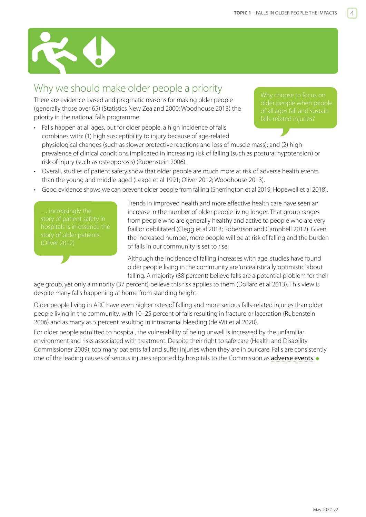<span id="page-3-0"></span>

## Why we should make older people a priority

There are evidence-based and pragmatic reasons for making older people (generally those over 65) (Statistics New Zealand 2000; Woodhouse 2013) the priority in the national falls programme.

Why choose to focus on of all ages fall and sustain

- Falls happen at all ages, but for older people, a high incidence of falls combines with: (1) high susceptibility to injury because of age-related physiological changes (such as slower protective reactions and loss of muscle mass); and (2) high prevalence of clinical conditions implicated in increasing risk of falling (such as postural hypotension) or risk of injury (such as osteoporosis) (Rubenstein 2006).
- Overall, studies of patient safety show that older people are much more at risk of adverse health events than the young and middle-aged (Leape et al 1991; Oliver 2012; Woodhouse 2013).
- Good evidence shows we can prevent older people from falling (Sherrington et al 2019; Hopewell et al 2018).

story of patient safety in hospitals is in essence the Trends in improved health and more effective health care have seen an increase in the number of older people living longer. That group ranges from people who are generally healthy and active to people who are very frail or debilitated (Clegg et al 2013; Robertson and Campbell 2012). Given the increased number, more people will be at risk of falling and the burden of falls in our community is set to rise.

Although the incidence of falling increases with age, studies have found older people living in the community are 'unrealistically optimistic' about falling. A majority (88 percent) believe falls are a potential problem for their

age group, yet only a minority (37 percent) believe this risk applies to them (Dollard et al 2013). This view is despite many falls happening at home from standing height.

Older people living in ARC have even higher rates of falling and more serious falls-related injuries than older people living in the community, with 10–25 percent of falls resulting in fracture or laceration (Rubenstein 2006) and as many as 5 percent resulting in intracranial bleeding (de Wit et al 2020).

For older people admitted to hospital, the vulnerability of being unwell is increased by the unfamiliar environment and risks associated with treatment. Despite their right to safe care (Health and Disability Commissioner 2009), too many patients fall and suffer injuries when they are in our care. Falls are consistently one of the leading causes of serious injuries reported by hospitals to the Commission as **[adverse events](http://www.hqsc.govt.nz/our-programmes/reportable-events/).**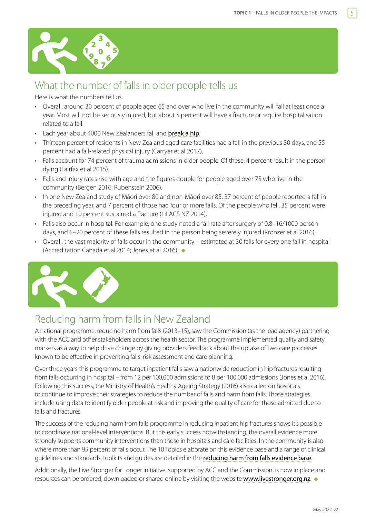<span id="page-4-0"></span>

## What the number of falls in older people tells us

Here is what the numbers tell us.

- Overall, around 30 percent of people aged 65 and over who live in the community will fall at least once a year. Most will not be seriously injured, but about 5 percent will have a fracture or require hospitalisation related to a fall.
- Each year about 4000 New Zealanders fall and **[break a hip](http://osteoporosis.org.nz/wp-content/uploads/ONZ-2017-Annual-Report-WEB.pdf)**.
- Thirteen percent of residents in New Zealand aged care facilities had a fall in the previous 30 days, and 55 percent had a fall-related physical injury (Carryer et al 2017).
- Falls account for 74 percent of trauma admissions in older people. Of these, 4 percent result in the person dying (Fairfax et al 2015).
- Falls and injury rates rise with age and the figures double for people aged over 75 who live in the community (Bergen 2016; Rubenstein 2006).
- In one New Zealand study of Māori over 80 and non-Māori over 85, 37 percent of people reported a fall in the preceding year, and 7 percent of those had four or more falls. Of the people who fell, 35 percent were injured and 10 percent sustained a fracture (LiLACS NZ 2014).
- Falls also occur in hospital. For example, one study noted a fall rate after surgery of 0.8–16/1000 person days, and 5–20 percent of these falls resulted in the person being severely injured (Kronzer et al 2016).
- Overall, the vast majority of falls occur in the community estimated at 30 falls for every one fall in hospital (Accreditation Canada et al 2014; Jones et al 2016).



## Reducing harm from falls in New Zealand

A national programme, reducing harm from falls (2013–15), saw the Commission (as the lead agency) partnering with the ACC and other stakeholders across the health sector. The programme implemented quality and safety markers as a way to help drive change by giving providers feedback about the uptake of two care processes known to be effective in preventing falls: risk assessment and care planning.

Over three years this programme to target inpatient falls saw a nationwide reduction in hip fractures resulting from falls occurring in hospital – from 12 per 100,000 admissions to 8 per 100,000 admissions (Jones et al 2016). Following this success, the Ministry of Health's Healthy Ageing Strategy (2016) also called on hospitals to continue to improve their strategies to reduce the number of falls and harm from falls. Those strategies include using data to identify older people at risk and improving the quality of care for those admitted due to falls and fractures.

The success of the reducing harm from falls programme in reducing inpatient hip fractures shows it's possible to coordinate national-level interventions. But this early success notwithstanding, the overall evidence more strongly supports community interventions than those in hospitals and care facilities. In the community is also where more than 95 percent of falls occur. The 10 Topics elaborate on this evidence base and a range of clinical guidelines and standards, toolkits and guides are detailed in the [reducing harm from falls evidence base](https://www.hqsc.govt.nz/our-programmes/reducing-harm-from-falls/recommended-resources/2020-evidence-base/).

Additionally, the Live Stronger for Longer initiative, supported by ACC and the Commission, is now in place and resources can be ordered, downloaded or shared online by visiting the website <www.livestronger.org.nz>.  $\bullet$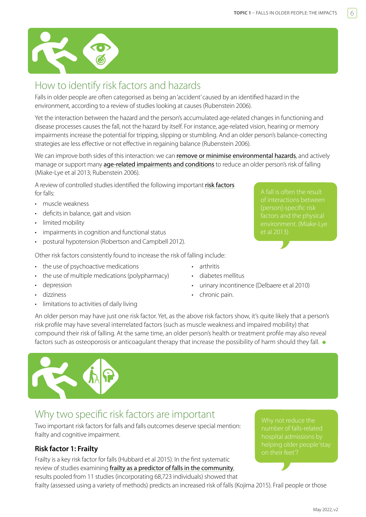<span id="page-5-0"></span>

## How to identify risk factors and hazards

Falls in older people are often categorised as being an 'accident' caused by an identified hazard in the environment, according to a review of studies looking at causes (Rubenstein 2006).

Yet the interaction between the hazard and the person's accumulated age-related changes in functioning and disease processes causes the fall, not the hazard by itself. For instance, age-related vision, hearing or memory impairments increase the potential for tripping, slipping or stumbling. And an older person's balance-correcting strategies are less effective or not effective in regaining balance (Rubenstein 2006).

We can improve both sides of this interaction: we can [remove or minimise environmental hazards](https://www.hqsc.govt.nz/our-programmes/reducing-harm-from-falls/publications-and-resources/publication/2875), and actively manage or support many [age-related impairments and conditions](https://www.hqsc.govt.nz/our-programmes/reducing-harm-from-falls/publications-and-resources/publication/2874) to reduce an older person's risk of falling (Miake-Lye et al 2013; Rubenstein 2006).

A review of controlled studies identified the following important [risk factors](https://www.hqsc.govt.nz/our-programmes/reducing-harm-from-falls/publications-and-resources/publication/2874) for falls:

- muscle weakness
- deficits in balance, gait and vision
- limited mobility
- impairments in cognition and functional status
- postural hypotension (Robertson and Campbell 2012).

Other risk factors consistently found to increase the risk of falling include:

- the use of psychoactive medications
- the use of multiple medications (polypharmacy)
- depression
	- dizziness
- limitations to activities of daily living
- arthritis
- diabetes mellitus
- urinary incontinence (Delbaere et al 2010)
- chronic pain.

An older person may have just one risk factor. Yet, as the above risk factors show, it's quite likely that a person's risk profile may have several interrelated factors (such as muscle weakness and impaired mobility) that compound their risk of falling. At the same time, an older person's health or treatment profile may also reveal factors such as osteoporosis or anticoagulant therapy that increase the possibility of harm should they fall.  $\bullet$ 

## Why two specific risk factors are important

Two important risk factors for falls and falls outcomes deserve special mention: frailty and cognitive impairment.

### **Risk factor 1: Frailty**

Frailty is a key risk factor for falls (Hubbard et al 2015). In the first systematic review of studies examining [frailty as a predictor of falls in the community](http://www.jamda.com/article/S1525-8610(15)00439-9/abstract), results pooled from 11 studies (incorporating 68,723 individuals) showed that frailty (assessed using a variety of methods) predicts an increased risk of falls (Kojima 2015). Frail people or those

Why not reduce the number of falls-related hospital admissions by

A fall is often the result of interactions between [person]-specific risk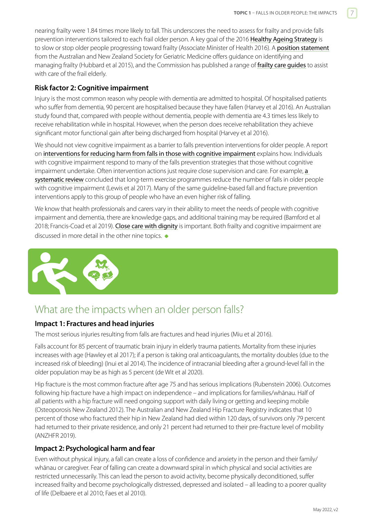<span id="page-6-0"></span>nearing frailty were 1.84 times more likely to fall. This underscores the need to assess for frailty and provide falls prevention interventions tailored to each frail older person. A key goal of the 2016 [Healthy Ageing Strategy](https://www.health.govt.nz/our-work/life-stages/health-older-people/healthy-ageing-strategy-update) is to slow or stop older people progressing toward frailty (Associate Minister of Health 2016). A [position statement](https://onlinelibrary.wiley.com/doi/10.1111/ajag.12195) [from the](https://onlinelibrary.wiley.com/doi/10.1111/ajag.12195) Australian and New Zealand Society for Geriatric Medicine offers guidance on identifying and managing frailty (Hubbard et al 2015), and the Commission has published a range of frailty care quides to assist with care of the frail elderly.

#### **Risk factor 2: Cognitive impairment**

Injury is the most common reason why people with dementia are admitted to hospital. Of hospitalised patients who suffer from dementia, 90 percent are hospitalised because they have fallen (Harvey et al 2016). An Australian study found that, compared with people without dementia, people with dementia are 4.3 times less likely to receive rehabilitation while in hospital. However, when the person does receive rehabilitation they achieve significant motor functional gain after being discharged from hospital (Harvey et al 2016).

We should not view cognitive impairment as a barrier to falls prevention interventions for older people. A report on [interventions for reducing harm from falls in those with cognitive impairment](https://www.hqsc.govt.nz/our-programmes/reducing-harm-from-falls/publications-and-resources/publication/3656/) explains how. Individuals with cognitive impairment respond to many of the falls prevention strategies that those without cognitive impairment undertake. Often intervention actions just require close supervision and care. For example, a [systematic review](http://www.journalofphysiotherapy.com/article/S1836-9553(16)30087-X/abstract) concluded that long-term exercise programmes reduce the number of falls in older people with cognitive impairment (Lewis et al 2017). Many of the same guideline-based fall and fracture prevention interventions apply to this group of people who have an even higher risk of falling.

We know that health professionals and carers vary in their ability to meet the needs of people with cognitive impairment and dementia, there are knowledge gaps, and additional training may be required (Bamford et al 2018; Francis-Coad et al 2019). [Close care with dignity](https://www.hqsc.govt.nz/our-programmes/reducing-harm-from-falls/publications-and-resources/publication/3657) is important. Both frailty and cognitive impairment are discussed in more detail in the other nine topics.



## What are the impacts when an older person falls?

#### **Impact 1: Fractures and head injuries**

The most serious injuries resulting from falls are fractures and head injuries (Miu et al 2016).

Falls account for 85 percent of traumatic brain injury in elderly trauma patients. Mortality from these injuries increases with age (Hawley et al 2017); if a person is taking oral anticoagulants, the mortality doubles (due to the increased risk of bleeding) (Inui et al 2014). The incidence of intracranial bleeding after a ground-level fall in the older population may be as high as 5 percent (de Wit et al 2020).

Hip fracture is the most common fracture after age 75 and has serious implications (Rubenstein 2006). Outcomes following hip fracture have a high impact on independence – and implications for families/whānau. Half of all patients with a hip fracture will need ongoing support with daily living or getting and keeping mobile (Osteoporosis New Zealand 2012). The Australian and New Zealand Hip Fracture Registry indicates that 10 percent of those who fractured their hip in New Zealand had died within 120 days, of survivors only 79 percent had returned to their private residence, and only 21 percent had returned to their pre-fracture level of mobility (ANZHFR 2019).

#### **Impact 2: Psychological harm and fear**

Even without physical injury, a fall can create a loss of confidence and anxiety in the person and their family/ whānau or caregiver. Fear of falling can create a downward spiral in which physical and social activities are restricted unnecessarily. This can lead the person to avoid activity, become physically deconditioned, suffer increased frailty and become psychologically distressed, depressed and isolated – all leading to a poorer quality of life (Delbaere et al 2010; Faes et al 2010).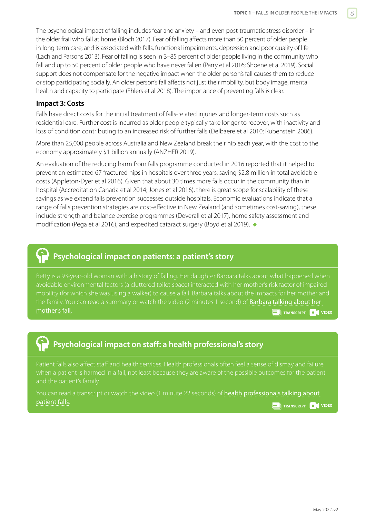The psychological impact of falling includes fear and anxiety – and even post-traumatic stress disorder – in the older frail who fall at home (Bloch 2017). Fear of falling affects more than 50 percent of older people in long-term care, and is associated with falls, functional impairments, depression and poor quality of life (Lach and Parsons 2013). Fear of falling is seen in 3–85 percent of older people living in the community who fall and up to 50 percent of older people who have never fallen (Parry et al 2016; Shoene et al 2019). Social support does not compensate for the negative impact when the older person's fall causes them to reduce or stop participating socially. An older person's fall affects not just their mobility, but body image, mental health and capacity to participate (Ehlers et al 2018). The importance of preventing falls is clear.

#### **Impact 3: Costs**

Falls have direct costs for the initial treatment of falls-related injuries and longer-term costs such as residential care. Further cost is incurred as older people typically take longer to recover, with inactivity and loss of condition contributing to an increased risk of further falls (Delbaere et al 2010; Rubenstein 2006).

More than 25,000 people across Australia and New Zealand break their hip each year, with the cost to the economy approximately \$1 billion annually (ANZHFR 2019).

An evaluation of the reducing harm from falls programme conducted in 2016 reported that it helped to prevent an estimated 67 fractured hips in hospitals over three years, saving \$2.8 million in total avoidable costs (Appleton-Dyer et al 2016). Given that about 30 times more falls occur in the community than in hospital (Accreditation Canada et al 2014; Jones et al 2016), there is great scope for scalability of these savings as we extend falls prevention successes outside hospitals. Economic evaluations indicate that a range of falls prevention strategies are cost-effective in New Zealand (and sometimes cost-saving), these include strength and balance exercise programmes (Deverall et al 2017), home safety assessment and modification (Pega et al 2016), and expedited cataract surgery (Boyd et al 2019).

## **Psychological impact on patients: a patient's story**

Betty is a 93-year-old woman with a history of falling. Her daughter Barbara talks about what happened when avoidable environmental factors (a cluttered toilet space) interacted with her mother's risk factor of impaired mobility (for which she was using a walker) to cause a fall. Barbara talks about the impacts for her mother and the family. You can read a summary or watch the video (2 minutes 1 second) of **Barbara talking about her** [mother's fall](http://www.hqsc.govt.nz/our-programmes/reducing-harm-from-falls/10-topics/patient-stories/#[PATIENT]). **TRANSCRIPT VIDEO**

## **Psychological impact on staff: a health professional's story**

when a patient is harmed in a fall, not least because they are aware of the possible outcomes for the patient

You can read a transcript or watch the video (1 minute 22 seconds) of [health professionals talking about](http://www.hqsc.govt.nz/our-programmes/reducing-harm-from-falls/10-topics/patient-stories/#[STAFF])  **[patient falls](http://www.hqsc.govt.nz/our-programmes/reducing-harm-from-falls/10-topics/patient-stories/#[STAFF]). TRANSCRIPT ED** TRANSCRIPT **O** VIDEO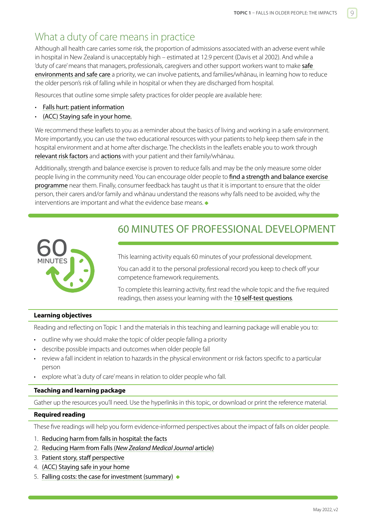## <span id="page-8-0"></span>What a duty of care means in practice

Although all health care carries some risk, the proportion of admissions associated with an adverse event while in hospital in New Zealand is unacceptably high – estimated at 12.9 percent (Davis et al 2002). And while a 'duty of care' means that managers, professionals, caregivers and other support workers want to make safe [environments and safe care](https://www.hqsc.govt.nz/our-programmes/reducing-harm-from-falls/publications-and-resources/publication/2876) a priority, we can involve patients, and families/whānau, in learning how to reduce the older person's risk of falling while in hospital or when they are discharged from hospital.

Resources that outline some simple safety practices for older people are available here:

- [Falls hurt: patient information](http://www.hqsc.govt.nz/our-programmes/reducing-harm-from-falls/publications-and-resources/publication/980/)
- [\(ACC\) Staying safe in your home.](https://www.acc.co.nz/about-us/preventing-injury/staying-safe-in-your-home/)

We recommend these leaflets to you as a reminder about the basics of living and working in a safe environment. More importantly, you can use the two educational resources with your patients to help keep them safe in the hospital environment and at home after discharge. The checklists in the leaflets enable you to work through [relevant risk factors](https://www.hqsc.govt.nz/our-programmes/reducing-harm-from-falls/publications-and-resources/publication/2874) and [actions](https://www.hqsc.govt.nz/our-programmes/reducing-harm-from-falls/publications-and-resources/publication/2891) with your patient and their family/whānau.

Additionally, strength and balance exercise is proven to reduce falls and may be the only measure some older people living in the community need. You can encourage older people to find a strength and balance exercise [programme](https://www.livestronger.org.nz/home/find-class/find-a-class-near-you/) near them. Finally, consumer feedback has taught us that it is important to ensure that the older person, their carers and/or family and whānau understand the reasons why falls need to be avoided, why the interventions are important and what the evidence base means.  $\bullet$ 



## 60 MINUTES OF PROFESSIONAL DEVELOPMENT

This learning activity equals 60 minutes of your professional development.

You can add it to the personal professional record you keep to check off your competence framework requirements.

To complete this learning activity, first read the whole topic and the five required readings, then assess your learning with the [10 self-test questions](#page-10-0).

#### **Learning objectives**

Reading and reflecting on Topic 1 and the materials in this teaching and learning package will enable you to:

- outline why we should make the topic of older people falling a priority
- describe possible impacts and outcomes when older people fall
- review a fall incident in relation to hazards in the physical environment or risk factors specific to a particular person
- explore what 'a duty of care' means in relation to older people who fall.

#### **Teaching and learning package**

Gather up the resources you'll need. Use the hyperlinks in this topic, or download or print the reference material.

#### **Required reading**

These five readings will help you form evidence-informed perspectives about the impact of falls on older people.

- 1. [Reducing harm from falls in hospital: the facts](http://www.open.hqsc.govt.nz/assets/Open-for-better-care/Falls/PR/falls-infographic-Mar-2015.pdf)
- 2. Reducing Harm from Falls (*[New Zealand Medical Journal](https://nzoa.org.nz/system/files/Reducing%20Harm%20from%20Falls%20NZMJ%20paper%202%20December.pdf)* article)
- 3. [Patient story, staff perspective](www.hqsc.govt.nz/our-programmes/reducing-harm-from-falls/publications-and-resources/publication/2872)
- 4. [\(ACC\) Staying safe in your home](https://www.acc.co.nz/about-us/preventing-injury/staying-safe-in-your-home/)
- 5. [Falling costs: the case for investment \(summary\)](https://www.hqsc.govt.nz/assets/Our-work/System-safety/Reducing-harm/Falls/Publications-resources/Falling-costs-case-for-investment-summary-May-2013.pdf)  $\bullet$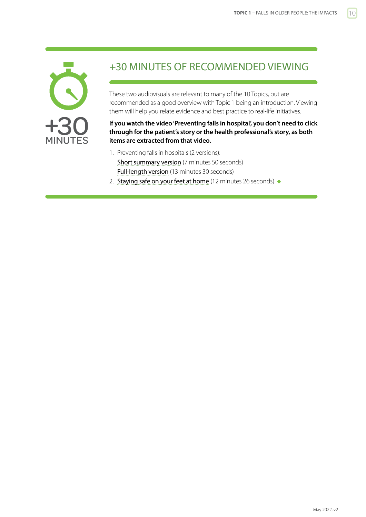<span id="page-9-0"></span>

## +30 MINUTES OF RECOMMENDED VIEWING

These two audiovisuals are relevant to many of the 10 Topics, but are recommended as a good overview with Topic 1 being an introduction. Viewing them will help you relate evidence and best practice to real-life initiatives.

#### **If you watch the video 'Preventing falls in hospital', you don't need to click through for the patient's story or the health professional's story, as both items are extracted from that video.**

- 1. Preventing falls in hospitals (2 versions): [Short summary version](https://www.hqsc.govt.nz/resources/resource-library/preventing-falls-in-hospitals-summary-7min-50sec) (7 minutes 50 seconds) [Full-length version](https://www.hqsc.govt.nz/resources/resource-library/preventing-falls-in-hospitals-full-length-13mins-30sec) (13 minutes 30 seconds)
- 2. [Staying safe on your feet at home](https://www.hqsc.govt.nz/resources/resource-library/staying-safe-on-your-feet-at-home) (12 minutes 26 seconds)  $\bullet$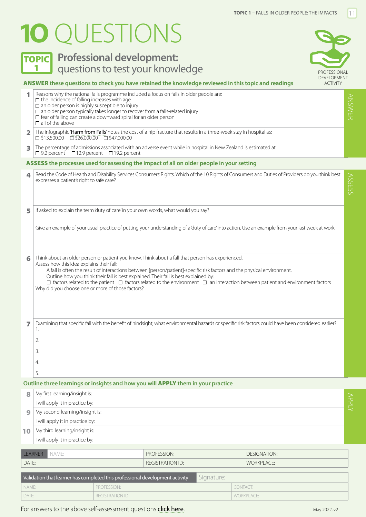# <span id="page-10-0"></span>**1O** QUESTIONS



## **TOPIC** Professional development: 1 **questions to test your knowledge Example 2018** PROFESSIONAL



#### ANSWER **these questions to check you have retained the knowledge reviewed in this topic and readings**

|       | Reasons why the national falls programme included a focus on falls in older people are:<br>$\Box$ the incidence of falling increases with age<br>$\Box$ an older person is highly susceptible to injury<br>$\square$ an older person typically takes longer to recover from a falls-related injury<br>$\Box$ fear of falling can create a downward spiral for an older person<br>$\Box$ all of the above                                                                                                                                                              |  |                                                                                                                 |            |                                                                                                                                                  |       |  |
|-------|-----------------------------------------------------------------------------------------------------------------------------------------------------------------------------------------------------------------------------------------------------------------------------------------------------------------------------------------------------------------------------------------------------------------------------------------------------------------------------------------------------------------------------------------------------------------------|--|-----------------------------------------------------------------------------------------------------------------|------------|--------------------------------------------------------------------------------------------------------------------------------------------------|-------|--|
| 2     | The infographic 'Harm from Falls' notes the cost of a hip fracture that results in a three-week stay in hospital as:<br>$\Box$ \$13,500.00 $\Box$ \$26,000.00 $\Box$ \$47,000.00                                                                                                                                                                                                                                                                                                                                                                                      |  |                                                                                                                 |            |                                                                                                                                                  |       |  |
| 3     | $\Box$ 9.2 percent $\Box$ 12.9 percent $\Box$ 19.2 percent                                                                                                                                                                                                                                                                                                                                                                                                                                                                                                            |  | The percentage of admissions associated with an adverse event while in hospital in New Zealand is estimated at: |            |                                                                                                                                                  |       |  |
|       |                                                                                                                                                                                                                                                                                                                                                                                                                                                                                                                                                                       |  | ASSESS the processes used for assessing the impact of all on older people in your setting                       |            |                                                                                                                                                  |       |  |
| 4     | expresses a patient's right to safe care?                                                                                                                                                                                                                                                                                                                                                                                                                                                                                                                             |  |                                                                                                                 |            | Read the Code of Health and Disability Services Consumers' Rights. Which of the 10 Rights of Consumers and Duties of Providers do you think best | SSESS |  |
| 5     |                                                                                                                                                                                                                                                                                                                                                                                                                                                                                                                                                                       |  | If asked to explain the term 'duty of care' in your own words, what would you say?                              |            |                                                                                                                                                  |       |  |
|       | Give an example of your usual practice of putting your understanding of a'duty of care' into action. Use an example from your last week at work.                                                                                                                                                                                                                                                                                                                                                                                                                      |  |                                                                                                                 |            |                                                                                                                                                  |       |  |
| 6     | Think about an older person or patient you know. Think about a fall that person has experienced.<br>Assess how this idea explains their fall:<br>A fall is often the result of interactions between [person/patient]-specific risk factors and the physical environment.<br>Outline how you think their fall is best explained. Their fall is best explained by:<br>$\Box$ factors related to the patient $\Box$ factors related to the environment $\Box$ an interaction between patient and environment factors<br>Why did you choose one or more of those factors? |  |                                                                                                                 |            |                                                                                                                                                  |       |  |
| 7     | Examining that specific fall with the benefit of hindsight, what environmental hazards or specific risk factors could have been considered earlier?<br>1.<br>2.<br>3.<br>4.                                                                                                                                                                                                                                                                                                                                                                                           |  |                                                                                                                 |            |                                                                                                                                                  |       |  |
|       | 5.                                                                                                                                                                                                                                                                                                                                                                                                                                                                                                                                                                    |  |                                                                                                                 |            |                                                                                                                                                  |       |  |
|       | My first learning/insight is:                                                                                                                                                                                                                                                                                                                                                                                                                                                                                                                                         |  | Outline three learnings or insights and how you will APPLY them in your practice                                |            |                                                                                                                                                  |       |  |
| 8     | I will apply it in practice by:                                                                                                                                                                                                                                                                                                                                                                                                                                                                                                                                       |  |                                                                                                                 | APPLY      |                                                                                                                                                  |       |  |
| 9     | My second learning/insight is:                                                                                                                                                                                                                                                                                                                                                                                                                                                                                                                                        |  |                                                                                                                 |            |                                                                                                                                                  |       |  |
|       | I will apply it in practice by:                                                                                                                                                                                                                                                                                                                                                                                                                                                                                                                                       |  |                                                                                                                 |            |                                                                                                                                                  |       |  |
| 10    | My third learning/insight is:                                                                                                                                                                                                                                                                                                                                                                                                                                                                                                                                         |  |                                                                                                                 |            |                                                                                                                                                  |       |  |
|       | I will apply it in practice by:                                                                                                                                                                                                                                                                                                                                                                                                                                                                                                                                       |  |                                                                                                                 |            |                                                                                                                                                  |       |  |
|       | <b>LEARNER</b><br>NAME:                                                                                                                                                                                                                                                                                                                                                                                                                                                                                                                                               |  | PROFESSION:                                                                                                     |            | <b>DESIGNATION:</b>                                                                                                                              |       |  |
|       | DATE:                                                                                                                                                                                                                                                                                                                                                                                                                                                                                                                                                                 |  | <b>REGISTRATION ID:</b>                                                                                         |            | <b>WORKPLACE:</b>                                                                                                                                |       |  |
|       |                                                                                                                                                                                                                                                                                                                                                                                                                                                                                                                                                                       |  |                                                                                                                 |            |                                                                                                                                                  |       |  |
|       | Validation that learner has completed this professional development activity                                                                                                                                                                                                                                                                                                                                                                                                                                                                                          |  |                                                                                                                 | Signature: |                                                                                                                                                  |       |  |
| DATE: | PROFESSION:<br>NAME:<br><b>REGISTRATION ID:</b>                                                                                                                                                                                                                                                                                                                                                                                                                                                                                                                       |  |                                                                                                                 |            | CONTACT:<br><b>WORKPLACE:</b>                                                                                                                    |       |  |
|       |                                                                                                                                                                                                                                                                                                                                                                                                                                                                                                                                                                       |  |                                                                                                                 |            |                                                                                                                                                  |       |  |